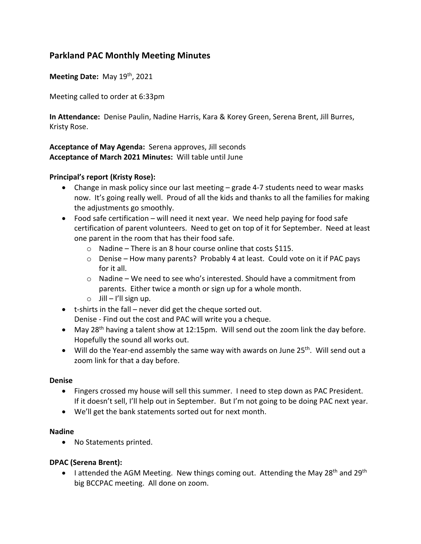# **Parkland PAC Monthly Meeting Minutes**

**Meeting Date: May 19th, 2021** 

Meeting called to order at 6:33pm

**In Attendance:** Denise Paulin, Nadine Harris, Kara & Korey Green, Serena Brent, Jill Burres, Kristy Rose.

**Acceptance of May Agenda:** Serena approves, Jill seconds **Acceptance of March 2021 Minutes:** Will table until June

## **Principal's report (Kristy Rose):**

- Change in mask policy since our last meeting grade 4-7 students need to wear masks now. It's going really well. Proud of all the kids and thanks to all the families for making the adjustments go smoothly.
- Food safe certification will need it next year. We need help paying for food safe certification of parent volunteers. Need to get on top of it for September. Need at least one parent in the room that has their food safe.
	- $\circ$  Nadine There is an 8 hour course online that costs \$115.
	- $\circ$  Denise How many parents? Probably 4 at least. Could vote on it if PAC pays for it all.
	- $\circ$  Nadine We need to see who's interested. Should have a commitment from parents. Either twice a month or sign up for a whole month.
	- $\circ$  Jill I'll sign up.
- t-shirts in the fall never did get the cheque sorted out. Denise - Find out the cost and PAC will write you a cheque.
- May 28<sup>th</sup> having a talent show at 12:15pm. Will send out the zoom link the day before. Hopefully the sound all works out.
- Will do the Year-end assembly the same way with awards on June  $25<sup>th</sup>$ . Will send out a zoom link for that a day before.

#### **Denise**

- Fingers crossed my house will sell this summer. I need to step down as PAC President. If it doesn't sell, I'll help out in September. But I'm not going to be doing PAC next year.
- We'll get the bank statements sorted out for next month.

#### **Nadine**

• No Statements printed.

### **DPAC (Serena Brent):**

• I attended the AGM Meeting. New things coming out. Attending the May 28<sup>th</sup> and 29<sup>th</sup> big BCCPAC meeting. All done on zoom.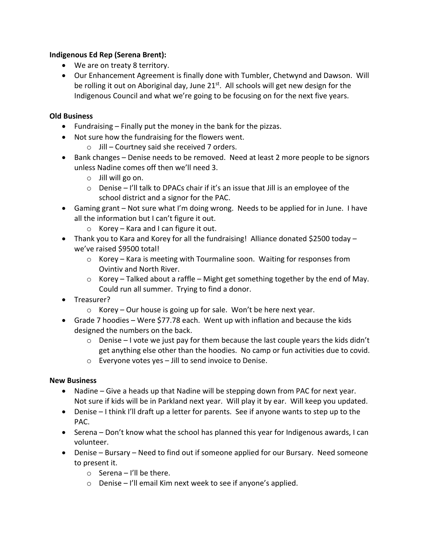# **Indigenous Ed Rep (Serena Brent):**

- We are on treaty 8 territory.
- Our Enhancement Agreement is finally done with Tumbler, Chetwynd and Dawson. Will be rolling it out on Aboriginal day, June  $21^{st}$ . All schools will get new design for the Indigenous Council and what we're going to be focusing on for the next five years.

## **Old Business**

- Fundraising Finally put the money in the bank for the pizzas.
- Not sure how the fundraising for the flowers went.
	- o Jill Courtney said she received 7 orders.
- Bank changes Denise needs to be removed. Need at least 2 more people to be signors unless Nadine comes off then we'll need 3.
	- o Jill will go on.
	- $\circ$  Denise I'll talk to DPACs chair if it's an issue that Jill is an employee of the school district and a signor for the PAC.
- Gaming grant Not sure what I'm doing wrong. Needs to be applied for in June. I have all the information but I can't figure it out.
	- $\circ$  Korey Kara and I can figure it out.
- Thank you to Kara and Korey for all the fundraising! Alliance donated \$2500 today we've raised \$9500 total!
	- $\circ$  Korey Kara is meeting with Tourmaline soon. Waiting for responses from Ovintiv and North River.
	- $\circ$  Korey Talked about a raffle Might get something together by the end of May. Could run all summer. Trying to find a donor.
- Treasurer?
	- o Korey Our house is going up for sale. Won't be here next year.
- Grade 7 hoodies Were \$77.78 each. Went up with inflation and because the kids designed the numbers on the back.
	- $\circ$  Denise I vote we just pay for them because the last couple years the kids didn't get anything else other than the hoodies. No camp or fun activities due to covid.
	- o Everyone votes yes Jill to send invoice to Denise.

### **New Business**

- Nadine Give a heads up that Nadine will be stepping down from PAC for next year. Not sure if kids will be in Parkland next year. Will play it by ear. Will keep you updated.
- Denise I think I'll draft up a letter for parents. See if anyone wants to step up to the PAC.
- Serena Don't know what the school has planned this year for Indigenous awards, I can volunteer.
- Denise Bursary Need to find out if someone applied for our Bursary. Need someone to present it.
	- $\circ$  Serena I'll be there.
	- o Denise I'll email Kim next week to see if anyone's applied.